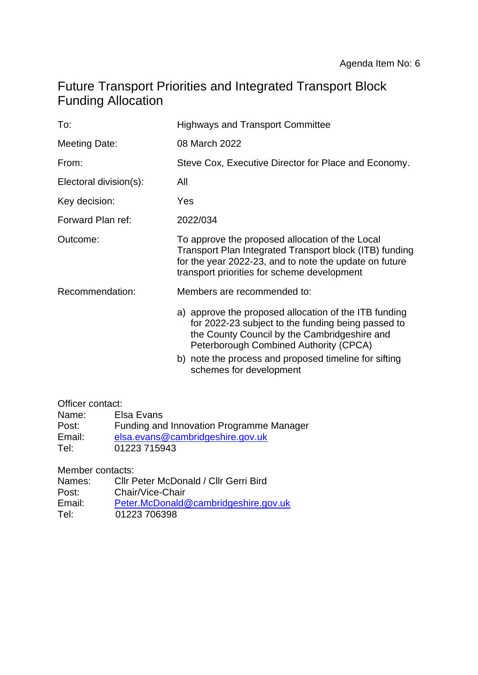# Future Transport Priorities and Integrated Transport Block Funding Allocation

| <b>Highways and Transport Committee</b>                                                                                                                                                                                                                                                   |  |  |  |
|-------------------------------------------------------------------------------------------------------------------------------------------------------------------------------------------------------------------------------------------------------------------------------------------|--|--|--|
| 08 March 2022                                                                                                                                                                                                                                                                             |  |  |  |
| Steve Cox, Executive Director for Place and Economy.                                                                                                                                                                                                                                      |  |  |  |
| All                                                                                                                                                                                                                                                                                       |  |  |  |
| Yes                                                                                                                                                                                                                                                                                       |  |  |  |
| 2022/034                                                                                                                                                                                                                                                                                  |  |  |  |
| To approve the proposed allocation of the Local<br>Transport Plan Integrated Transport block (ITB) funding<br>for the year 2022-23, and to note the update on future<br>transport priorities for scheme development                                                                       |  |  |  |
| Members are recommended to:                                                                                                                                                                                                                                                               |  |  |  |
| a) approve the proposed allocation of the ITB funding<br>for 2022-23 subject to the funding being passed to<br>the County Council by the Cambridgeshire and<br>Peterborough Combined Authority (CPCA)<br>b) note the process and proposed timeline for sifting<br>schemes for development |  |  |  |
|                                                                                                                                                                                                                                                                                           |  |  |  |

## Officer contact:

| Name:  | Elsa Evans                               |
|--------|------------------------------------------|
| Post:  | Funding and Innovation Programme Manager |
| Email: | elsa.evans@cambridgeshire.gov.uk         |
| Tel:   | 01223 715943                             |

Member contacts:

| Cllr Peter McDonald / Cllr Gerri Bird |
|---------------------------------------|
| Chair/Vice-Chair                      |
| Peter.McDonald@cambridgeshire.gov.uk  |
| 01223 706398                          |
|                                       |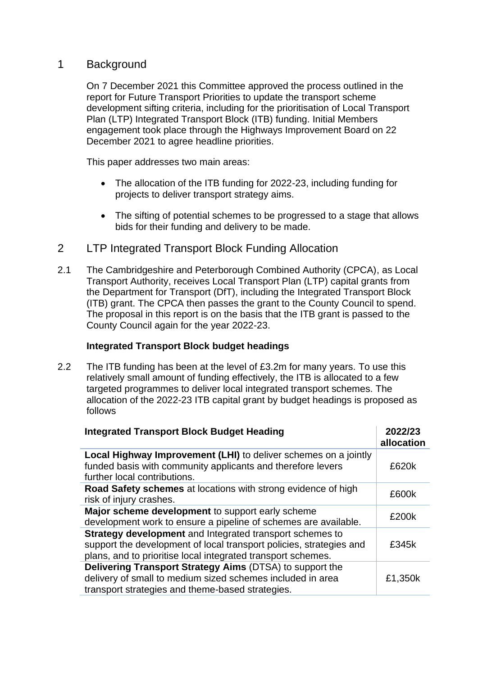## 1 Background

On 7 December 2021 this Committee approved the process outlined in the report for Future Transport Priorities to update the transport scheme development sifting criteria, including for the prioritisation of Local Transport Plan (LTP) Integrated Transport Block (ITB) funding. Initial Members engagement took place through the Highways Improvement Board on 22 December 2021 to agree headline priorities.

This paper addresses two main areas:

- The allocation of the ITB funding for 2022-23, including funding for projects to deliver transport strategy aims.
- The sifting of potential schemes to be progressed to a stage that allows bids for their funding and delivery to be made.
- 2 LTP Integrated Transport Block Funding Allocation
- 2.1 The Cambridgeshire and Peterborough Combined Authority (CPCA), as Local Transport Authority, receives Local Transport Plan (LTP) capital grants from the Department for Transport (DfT), including the Integrated Transport Block (ITB) grant. The CPCA then passes the grant to the County Council to spend. The proposal in this report is on the basis that the ITB grant is passed to the County Council again for the year 2022-23.

#### **Integrated Transport Block budget headings**

2.2 The ITB funding has been at the level of £3.2m for many years. To use this relatively small amount of funding effectively, the ITB is allocated to a few targeted programmes to deliver local integrated transport schemes. The allocation of the 2022-23 ITB capital grant by budget headings is proposed as follows

| <b>Integrated Transport Block Budget Heading</b>                                                                                                                                                | 2022/23<br>allocation |
|-------------------------------------------------------------------------------------------------------------------------------------------------------------------------------------------------|-----------------------|
| Local Highway Improvement (LHI) to deliver schemes on a jointly<br>funded basis with community applicants and therefore levers<br>further local contributions.                                  | £620k                 |
| Road Safety schemes at locations with strong evidence of high<br>risk of injury crashes.                                                                                                        | £600k                 |
| Major scheme development to support early scheme<br>development work to ensure a pipeline of schemes are available.                                                                             | £200k                 |
| Strategy development and Integrated transport schemes to<br>support the development of local transport policies, strategies and<br>plans, and to prioritise local integrated transport schemes. | £345k                 |
| Delivering Transport Strategy Aims (DTSA) to support the<br>delivery of small to medium sized schemes included in area<br>transport strategies and theme-based strategies.                      | £1,350k               |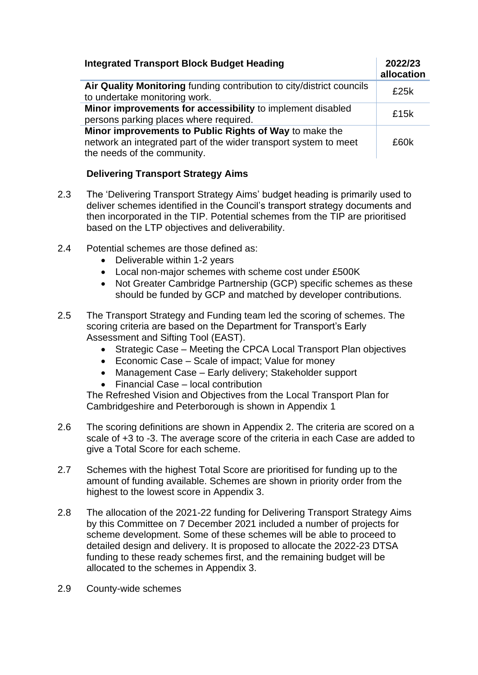| <b>Integrated Transport Block Budget Heading</b>                                                                                                          | 2022/23<br>allocation |
|-----------------------------------------------------------------------------------------------------------------------------------------------------------|-----------------------|
| Air Quality Monitoring funding contribution to city/district councils<br>to undertake monitoring work.                                                    | f25k                  |
| Minor improvements for accessibility to implement disabled<br>persons parking places where required.                                                      | £15k                  |
| Minor improvements to Public Rights of Way to make the<br>network an integrated part of the wider transport system to meet<br>the needs of the community. | £60k                  |

## **Delivering Transport Strategy Aims**

- 2.3 The 'Delivering Transport Strategy Aims' budget heading is primarily used to deliver schemes identified in the Council's transport strategy documents and then incorporated in the TIP. Potential schemes from the TIP are prioritised based on the LTP objectives and deliverability.
- 2.4 Potential schemes are those defined as:
	- Deliverable within 1-2 years
	- Local non-major schemes with scheme cost under £500K
	- Not Greater Cambridge Partnership (GCP) specific schemes as these should be funded by GCP and matched by developer contributions.
- 2.5 The Transport Strategy and Funding team led the scoring of schemes. The scoring criteria are based on the Department for Transport's Early Assessment and Sifting Tool (EAST).
	- Strategic Case Meeting the CPCA Local Transport Plan objectives
	- Economic Case Scale of impact; Value for money
	- Management Case Early delivery; Stakeholder support
	- Financial Case local contribution

The Refreshed Vision and Objectives from the Local Transport Plan for Cambridgeshire and Peterborough is shown in Appendix 1

- 2.6 The scoring definitions are shown in Appendix 2. The criteria are scored on a scale of +3 to -3. The average score of the criteria in each Case are added to give a Total Score for each scheme.
- 2.7 Schemes with the highest Total Score are prioritised for funding up to the amount of funding available. Schemes are shown in priority order from the highest to the lowest score in Appendix 3.
- 2.8 The allocation of the 2021-22 funding for Delivering Transport Strategy Aims by this Committee on 7 December 2021 included a number of projects for scheme development. Some of these schemes will be able to proceed to detailed design and delivery. It is proposed to allocate the 2022-23 DTSA funding to these ready schemes first, and the remaining budget will be allocated to the schemes in Appendix 3.
- 2.9 County-wide schemes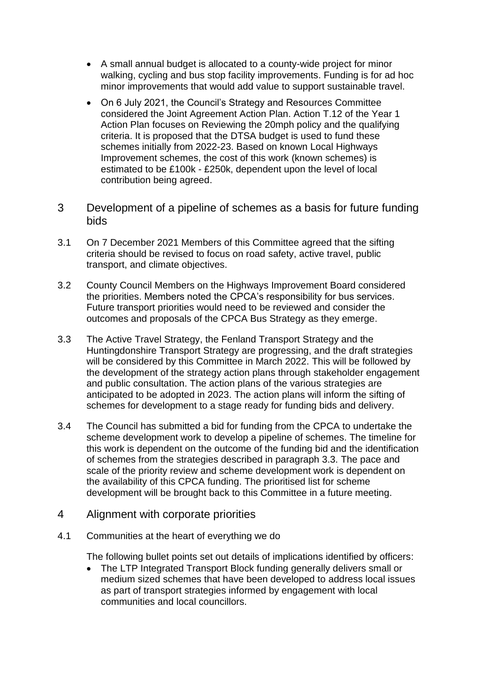- A small annual budget is allocated to a county-wide project for minor walking, cycling and bus stop facility improvements. Funding is for ad hoc minor improvements that would add value to support sustainable travel.
- On 6 July 2021, the Council's Strategy and Resources Committee considered the Joint Agreement Action Plan. Action T.12 of the Year 1 Action Plan focuses on Reviewing the 20mph policy and the qualifying criteria. It is proposed that the DTSA budget is used to fund these schemes initially from 2022-23. Based on known Local Highways Improvement schemes, the cost of this work (known schemes) is estimated to be £100k - £250k, dependent upon the level of local contribution being agreed.
- 3 Development of a pipeline of schemes as a basis for future funding bids
- 3.1 On 7 December 2021 Members of this Committee agreed that the sifting criteria should be revised to focus on road safety, active travel, public transport, and climate objectives.
- 3.2 County Council Members on the Highways Improvement Board considered the priorities. Members noted the CPCA's responsibility for bus services. Future transport priorities would need to be reviewed and consider the outcomes and proposals of the CPCA Bus Strategy as they emerge.
- 3.3 The Active Travel Strategy, the Fenland Transport Strategy and the Huntingdonshire Transport Strategy are progressing, and the draft strategies will be considered by this Committee in March 2022. This will be followed by the development of the strategy action plans through stakeholder engagement and public consultation. The action plans of the various strategies are anticipated to be adopted in 2023. The action plans will inform the sifting of schemes for development to a stage ready for funding bids and delivery.
- 3.4 The Council has submitted a bid for funding from the CPCA to undertake the scheme development work to develop a pipeline of schemes. The timeline for this work is dependent on the outcome of the funding bid and the identification of schemes from the strategies described in paragraph 3.3. The pace and scale of the priority review and scheme development work is dependent on the availability of this CPCA funding. The prioritised list for scheme development will be brought back to this Committee in a future meeting.

#### 4 Alignment with corporate priorities

4.1 Communities at the heart of everything we do

The following bullet points set out details of implications identified by officers:

• The LTP Integrated Transport Block funding generally delivers small or medium sized schemes that have been developed to address local issues as part of transport strategies informed by engagement with local communities and local councillors.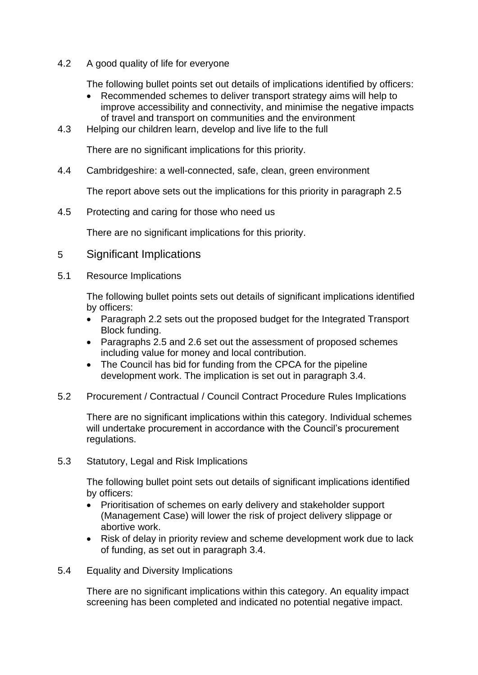4.2 A good quality of life for everyone

The following bullet points set out details of implications identified by officers:

- Recommended schemes to deliver transport strategy aims will help to improve accessibility and connectivity, and minimise the negative impacts of travel and transport on communities and the environment
- 4.3 Helping our children learn, develop and live life to the full

There are no significant implications for this priority.

4.4 Cambridgeshire: a well-connected, safe, clean, green environment

The report above sets out the implications for this priority in paragraph 2.5

4.5 Protecting and caring for those who need us

There are no significant implications for this priority.

- 5 Significant Implications
- 5.1 Resource Implications

The following bullet points sets out details of significant implications identified by officers:

- Paragraph 2.2 sets out the proposed budget for the Integrated Transport Block funding.
- Paragraphs 2.5 and 2.6 set out the assessment of proposed schemes including value for money and local contribution.
- The Council has bid for funding from the CPCA for the pipeline development work. The implication is set out in paragraph 3.4.
- 5.2 Procurement / Contractual / Council Contract Procedure Rules Implications

There are no significant implications within this category. Individual schemes will undertake procurement in accordance with the Council's procurement regulations.

5.3 Statutory, Legal and Risk Implications

The following bullet point sets out details of significant implications identified by officers:

- Prioritisation of schemes on early delivery and stakeholder support (Management Case) will lower the risk of project delivery slippage or abortive work.
- Risk of delay in priority review and scheme development work due to lack of funding, as set out in paragraph 3.4.
- 5.4 Equality and Diversity Implications

There are no significant implications within this category. An equality impact screening has been completed and indicated no potential negative impact.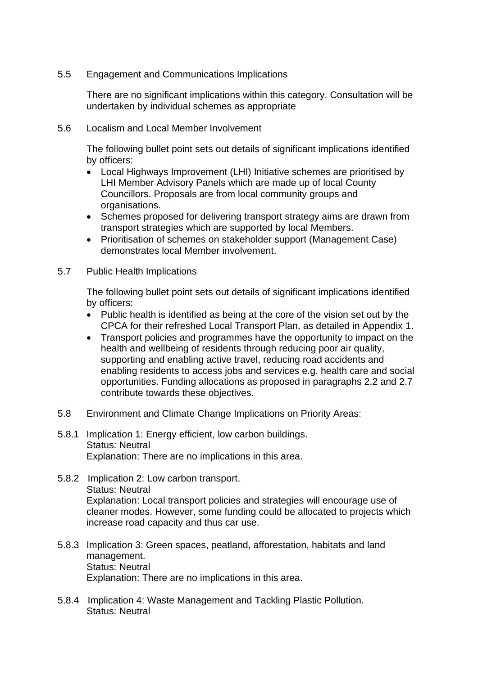5.5 Engagement and Communications Implications

There are no significant implications within this category. Consultation will be undertaken by individual schemes as appropriate

5.6 Localism and Local Member Involvement

The following bullet point sets out details of significant implications identified by officers:

- Local Highways Improvement (LHI) Initiative schemes are prioritised by LHI Member Advisory Panels which are made up of local County Councillors. Proposals are from local community groups and organisations.
- Schemes proposed for delivering transport strategy aims are drawn from transport strategies which are supported by local Members.
- Prioritisation of schemes on stakeholder support (Management Case) demonstrates local Member involvement.
- 5.7 Public Health Implications

The following bullet point sets out details of significant implications identified by officers:

- Public health is identified as being at the core of the vision set out by the CPCA for their refreshed Local Transport Plan, as detailed in Appendix 1.
- Transport policies and programmes have the opportunity to impact on the health and wellbeing of residents through reducing poor air quality, supporting and enabling active travel, reducing road accidents and enabling residents to access jobs and services e.g. health care and social opportunities. Funding allocations as proposed in paragraphs 2.2 and 2.7 contribute towards these objectives.
- 5.8 Environment and Climate Change Implications on Priority Areas:
- 5.8.1 Implication 1: Energy efficient, low carbon buildings. Status: Neutral Explanation: There are no implications in this area.
- 5.8.2 Implication 2: Low carbon transport. Status: Neutral Explanation: Local transport policies and strategies will encourage use of cleaner modes. However, some funding could be allocated to projects which increase road capacity and thus car use.
- 5.8.3 Implication 3: Green spaces, peatland, afforestation, habitats and land management. Status: Neutral Explanation: There are no implications in this area.
- 5.8.4 Implication 4: Waste Management and Tackling Plastic Pollution. Status: Neutral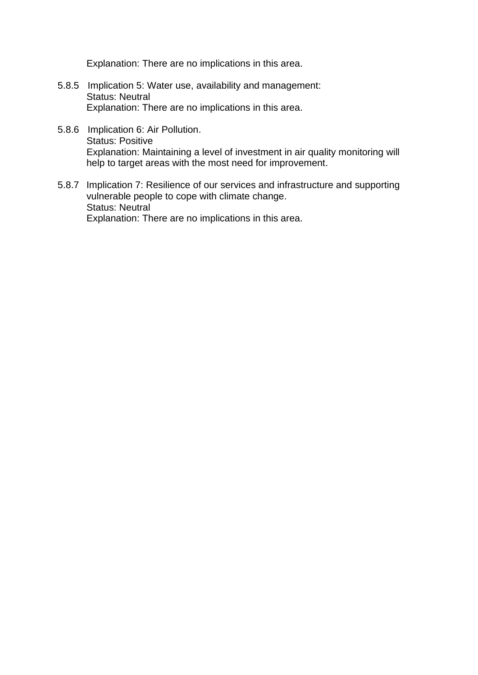Explanation: There are no implications in this area.

- 5.8.5 Implication 5: Water use, availability and management: Status: Neutral Explanation: There are no implications in this area.
- 5.8.6 Implication 6: Air Pollution. Status: Positive Explanation: Maintaining a level of investment in air quality monitoring will help to target areas with the most need for improvement.
- 5.8.7 Implication 7: Resilience of our services and infrastructure and supporting vulnerable people to cope with climate change. Status: Neutral Explanation: There are no implications in this area.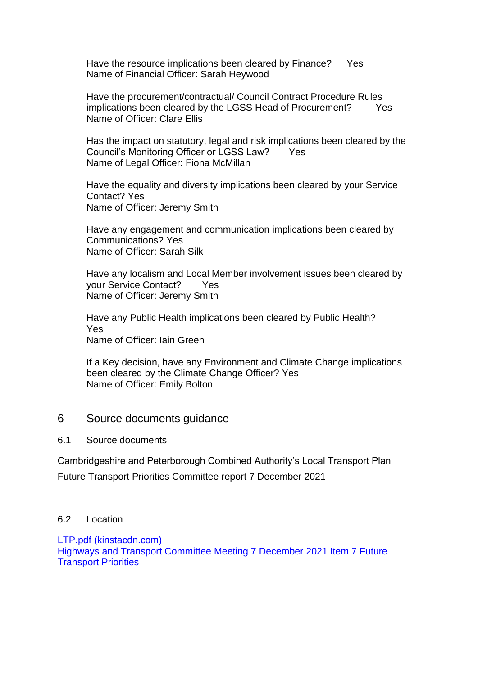Have the resource implications been cleared by Finance? Yes Name of Financial Officer: Sarah Heywood

Have the procurement/contractual/ Council Contract Procedure Rules implications been cleared by the LGSS Head of Procurement? Yes Name of Officer: Clare Ellis

Has the impact on statutory, legal and risk implications been cleared by the Council's Monitoring Officer or LGSS Law? Yes Name of Legal Officer: Fiona McMillan

Have the equality and diversity implications been cleared by your Service Contact? Yes Name of Officer: Jeremy Smith

Have any engagement and communication implications been cleared by Communications? Yes Name of Officer: Sarah Silk

Have any localism and Local Member involvement issues been cleared by your Service Contact? Yes Name of Officer: Jeremy Smith

Have any Public Health implications been cleared by Public Health? Yes Name of Officer: Iain Green

If a Key decision, have any Environment and Climate Change implications been cleared by the Climate Change Officer? Yes Name of Officer: Emily Bolton

### 6 Source documents guidance

#### 6.1 Source documents

Cambridgeshire and Peterborough Combined Authority's Local Transport Plan Future Transport Priorities Committee report 7 December 2021

#### 6.2 Location

[LTP.pdf \(kinstacdn.com\)](https://mk0cpcamainsitehdbtm.kinstacdn.com/wp-content/uploads/documents/transport/local-transport-plan/LTP.pdf) [Highways and Transport Committee Meeting 7 December 2021 Item 7 Future](https://cambridgeshire.cmis.uk.com/CCC_live/Document.ashx?czJKcaeAi5tUFL1DTL2UE4zNRBcoShgo=pociVQ9I2sHhzmkuEflEAgpL1JkZpz4rhm%2fjSyboBD7JMhvjk0heKQ%3d%3d&rUzwRPf%2bZ3zd4E7Ikn8Lyw%3d%3d=pwRE6AGJFLDNlh225F5QMaQWCtPHwdhUfCZ%2fLUQzgA2uL5jNRG4jdQ%3d%3d&mCTIbCubSFfXsDGW9IXnlg%3d%3d=hFflUdN3100%3d&kCx1AnS9%2fpWZQ40DXFvdEw%3d%3d=hFflUdN3100%3d&uJovDxwdjMPoYv%2bAJvYtyA%3d%3d=ctNJFf55vVA%3d&FgPlIEJYlotS%2bYGoBi5olA%3d%3d=NHdURQburHA%3d&d9Qjj0ag1Pd993jsyOJqFvmyB7X0CSQK=ctNJFf55vVA%3d&WGewmoAfeNR9xqBux0r1Q8Za60lavYmz=ctNJFf55vVA%3d&WGewmoAfeNQ16B2MHuCpMRKZMwaG1PaO=ctNJFf55vVA%3d)  [Transport Priorities](https://cambridgeshire.cmis.uk.com/CCC_live/Document.ashx?czJKcaeAi5tUFL1DTL2UE4zNRBcoShgo=pociVQ9I2sHhzmkuEflEAgpL1JkZpz4rhm%2fjSyboBD7JMhvjk0heKQ%3d%3d&rUzwRPf%2bZ3zd4E7Ikn8Lyw%3d%3d=pwRE6AGJFLDNlh225F5QMaQWCtPHwdhUfCZ%2fLUQzgA2uL5jNRG4jdQ%3d%3d&mCTIbCubSFfXsDGW9IXnlg%3d%3d=hFflUdN3100%3d&kCx1AnS9%2fpWZQ40DXFvdEw%3d%3d=hFflUdN3100%3d&uJovDxwdjMPoYv%2bAJvYtyA%3d%3d=ctNJFf55vVA%3d&FgPlIEJYlotS%2bYGoBi5olA%3d%3d=NHdURQburHA%3d&d9Qjj0ag1Pd993jsyOJqFvmyB7X0CSQK=ctNJFf55vVA%3d&WGewmoAfeNR9xqBux0r1Q8Za60lavYmz=ctNJFf55vVA%3d&WGewmoAfeNQ16B2MHuCpMRKZMwaG1PaO=ctNJFf55vVA%3d)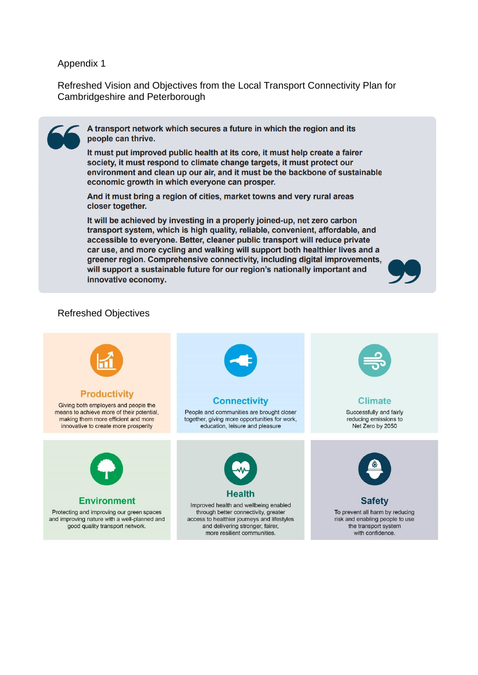#### Appendix 1

Refreshed Vision and Objectives from the Local Transport Connectivity Plan for Cambridgeshire and Peterborough



A transport network which secures a future in which the region and its people can thrive.

It must put improved public health at its core, it must help create a fairer society, it must respond to climate change targets, it must protect our environment and clean up our air, and it must be the backbone of sustainable economic growth in which everyone can prosper.

And it must bring a region of cities, market towns and very rural areas closer together.

It will be achieved by investing in a properly joined-up, net zero carbon transport system, which is high quality, reliable, convenient, affordable, and accessible to everyone. Better, cleaner public transport will reduce private car use, and more cycling and walking will support both healthier lives and a greener region. Comprehensive connectivity, including digital improvements, will support a sustainable future for our region's nationally important and innovative economy.



#### Refreshed Objectives

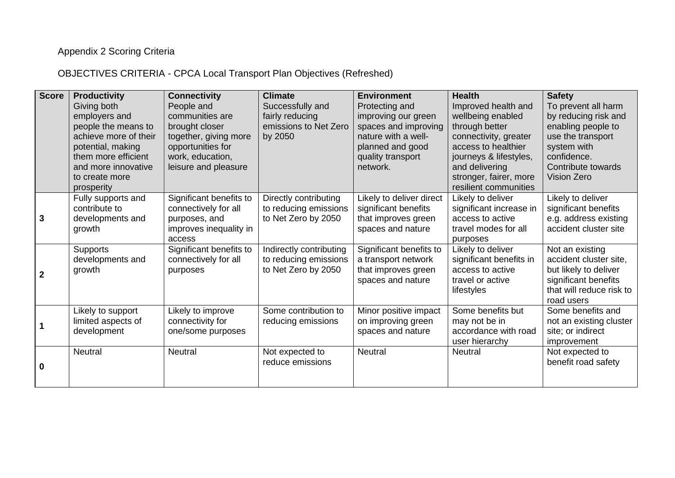## Appendix 2 Scoring Criteria

OBJECTIVES CRITERIA - CPCA Local Transport Plan Objectives (Refreshed)

| <b>Score</b>   | <b>Productivity</b>   | <b>Connectivity</b>     | <b>Climate</b>          | <b>Environment</b>       | <b>Health</b>                               | <b>Safety</b>                                    |
|----------------|-----------------------|-------------------------|-------------------------|--------------------------|---------------------------------------------|--------------------------------------------------|
|                | Giving both           | People and              | Successfully and        | Protecting and           | Improved health and                         | To prevent all harm                              |
|                | employers and         | communities are         | fairly reducing         | improving our green      | wellbeing enabled                           | by reducing risk and                             |
|                | people the means to   | brought closer          | emissions to Net Zero   | spaces and improving     | through better                              | enabling people to                               |
|                | achieve more of their | together, giving more   | by 2050                 | nature with a well-      | connectivity, greater                       | use the transport                                |
|                | potential, making     | opportunities for       |                         | planned and good         | access to healthier                         | system with                                      |
|                | them more efficient   | work, education,        |                         | quality transport        | journeys & lifestyles,                      | confidence.                                      |
|                | and more innovative   | leisure and pleasure    |                         | network.                 | and delivering                              | Contribute towards                               |
|                | to create more        |                         |                         |                          | stronger, fairer, more                      | <b>Vision Zero</b>                               |
|                | prosperity            |                         |                         |                          | resilient communities                       |                                                  |
|                | Fully supports and    | Significant benefits to | Directly contributing   | Likely to deliver direct | Likely to deliver                           | Likely to deliver                                |
|                | contribute to         | connectively for all    | to reducing emissions   | significant benefits     | significant increase in                     | significant benefits                             |
| 3              | developments and      | purposes, and           | to Net Zero by 2050     | that improves green      | access to active                            | e.g. address existing                            |
|                | growth                | improves inequality in  |                         | spaces and nature        | travel modes for all                        | accident cluster site                            |
|                |                       | access                  |                         |                          | purposes                                    |                                                  |
|                | <b>Supports</b>       | Significant benefits to | Indirectly contributing | Significant benefits to  | Likely to deliver                           | Not an existing                                  |
|                | developments and      | connectively for all    | to reducing emissions   | a transport network      | significant benefits in<br>access to active | accident cluster site,                           |
| $\overline{2}$ | growth                | purposes                | to Net Zero by 2050     | that improves green      | travel or active                            | but likely to deliver                            |
|                |                       |                         |                         | spaces and nature        |                                             | significant benefits<br>that will reduce risk to |
|                |                       |                         |                         |                          | lifestyles                                  | road users                                       |
|                | Likely to support     | Likely to improve       | Some contribution to    | Minor positive impact    | Some benefits but                           | Some benefits and                                |
|                | limited aspects of    | connectivity for        | reducing emissions      | on improving green       | may not be in                               | not an existing cluster                          |
|                | development           | one/some purposes       |                         | spaces and nature        | accordance with road                        | site; or indirect                                |
|                |                       |                         |                         |                          | user hierarchy                              | improvement                                      |
|                | Neutral               | Neutral                 | Not expected to         | <b>Neutral</b>           | <b>Neutral</b>                              | Not expected to                                  |
|                |                       |                         | reduce emissions        |                          |                                             | benefit road safety                              |
| 0              |                       |                         |                         |                          |                                             |                                                  |
|                |                       |                         |                         |                          |                                             |                                                  |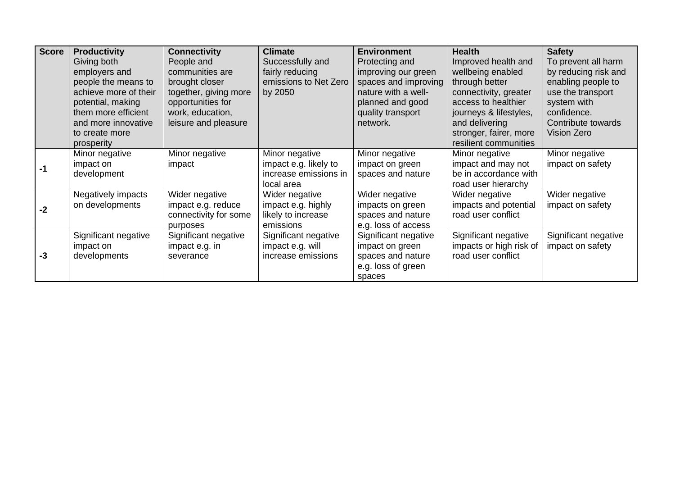| <b>Score</b> | <b>Productivity</b>   | <b>Connectivity</b>   | <b>Climate</b>        | <b>Environment</b>   | <b>Health</b>           | <b>Safety</b>        |
|--------------|-----------------------|-----------------------|-----------------------|----------------------|-------------------------|----------------------|
|              | Giving both           | People and            | Successfully and      | Protecting and       | Improved health and     | To prevent all harm  |
|              | employers and         | communities are       | fairly reducing       | improving our green  | wellbeing enabled       | by reducing risk and |
|              | people the means to   | brought closer        | emissions to Net Zero | spaces and improving | through better          | enabling people to   |
|              | achieve more of their | together, giving more | by 2050               | nature with a well-  | connectivity, greater   | use the transport    |
|              | potential, making     | opportunities for     |                       | planned and good     | access to healthier     | system with          |
|              | them more efficient   | work, education,      |                       | quality transport    | journeys & lifestyles,  | confidence.          |
|              | and more innovative   | leisure and pleasure  |                       | network.             | and delivering          | Contribute towards   |
|              | to create more        |                       |                       |                      | stronger, fairer, more  | Vision Zero          |
|              | prosperity            |                       |                       |                      | resilient communities   |                      |
|              | Minor negative        | Minor negative        | Minor negative        | Minor negative       | Minor negative          | Minor negative       |
| -1           | impact on             | impact                | impact e.g. likely to | impact on green      | impact and may not      | impact on safety     |
|              | development           |                       | increase emissions in | spaces and nature    | be in accordance with   |                      |
|              |                       |                       | local area            |                      | road user hierarchy     |                      |
|              | Negatively impacts    | Wider negative        | Wider negative        | Wider negative       | Wider negative          | Wider negative       |
| $-2$         | on developments       | impact e.g. reduce    | impact e.g. highly    | impacts on green     | impacts and potential   | impact on safety     |
|              |                       | connectivity for some | likely to increase    | spaces and nature    | road user conflict      |                      |
|              |                       | purposes              | emissions             | e.g. loss of access  |                         |                      |
|              | Significant negative  | Significant negative  | Significant negative  | Significant negative | Significant negative    | Significant negative |
| $-3$         | impact on             | impact e.g. in        | impact e.g. will      | impact on green      | impacts or high risk of | impact on safety     |
|              | developments          | severance             | increase emissions    | spaces and nature    | road user conflict      |                      |
|              |                       |                       |                       | e.g. loss of green   |                         |                      |
|              |                       |                       |                       | spaces               |                         |                      |